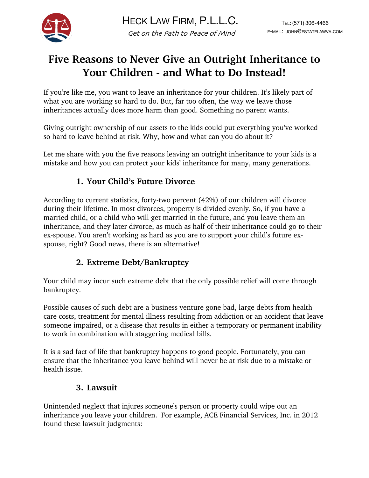

# **Five Reasons to Never Give an Outright Inheritance to Your Children - and What to Do Instead!**

If you're like me, you want to leave an inheritance for your children. It's likely part of what you are working so hard to do. But, far too often, the way we leave those inheritances actually does more harm than good. Something no parent wants.

Giving outright ownership of our assets to the kids could put everything you've worked so hard to leave behind at risk. Why, how and what can you do about it?

Let me share with you the five reasons leaving an outright inheritance to your kids is a mistake and how you can protect your kids' inheritance for many, many generations.

## **1. Your Child's Future Divorce**

According to current statistics, forty-two percent (42%) of our children will divorce during their lifetime. In most divorces, property is divided evenly. So, if you have a married child, or a child who will get married in the future, and you leave them an inheritance, and they later divorce, as much as half of their inheritance could go to their ex-spouse. You aren't working as hard as you are to support your child's future exspouse, right? Good news, there is an alternative!

# **2. Extreme Debt/Bankruptcy**

Your child may incur such extreme debt that the only possible relief will come through bankruptcy.

Possible causes of such debt are a business venture gone bad, large debts from health care costs, treatment for mental illness resulting from addiction or an accident that leave someone impaired, or a disease that results in either a temporary or permanent inability to work in combination with staggering medical bills.

It is a sad fact of life that bankruptcy happens to good people. Fortunately, you can ensure that the inheritance you leave behind will never be at risk due to a mistake or health issue.

# **3. Lawsuit**

Unintended neglect that injures someone's person or property could wipe out an inheritance you leave your children. For example, ACE Financial Services, Inc. in 2012 found these lawsuit judgments: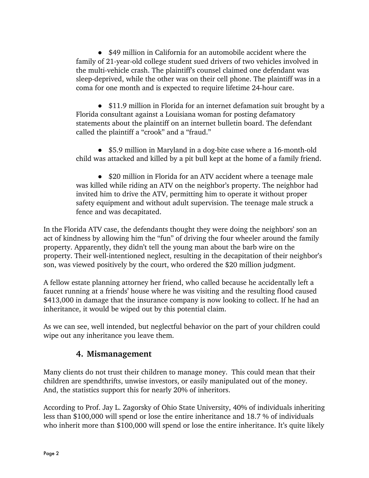• \$49 million in California for an automobile accident where the family of 21-year-old college student sued drivers of two vehicles involved in the multi-vehicle crash. The plaintiff's counsel claimed one defendant was sleep-deprived, while the other was on their cell phone. The plaintiff was in a coma for one month and is expected to require lifetime 24-hour care.

• \$11.9 million in Florida for an internet defamation suit brought by a Florida consultant against a Louisiana woman for posting defamatory statements about the plaintiff on an internet bulletin board. The defendant called the plaintiff a "crook" and a "fraud."

● \$5.9 million in Maryland in a dog-bite case where a 16-month-old child was attacked and killed by a pit bull kept at the home of a family friend.

• \$20 million in Florida for an ATV accident where a teenage male was killed while riding an ATV on the neighbor's property. The neighbor had invited him to drive the ATV, permitting him to operate it without proper safety equipment and without adult supervision. The teenage male struck a fence and was decapitated.

In the Florida ATV case, the defendants thought they were doing the neighbors' son an act of kindness by allowing him the "fun" of driving the four wheeler around the family property. Apparently, they didn't tell the young man about the barb wire on the property. Their well-intentioned neglect, resulting in the decapitation of their neighbor's son, was viewed positively by the court, who ordered the \$20 million judgment.

A fellow estate planning attorney her friend, who called because he accidentally left a faucet running at a friends' house where he was visiting and the resulting flood caused \$413,000 in damage that the insurance company is now looking to collect. If he had an inheritance, it would be wiped out by this potential claim.

As we can see, well intended, but neglectful behavior on the part of your children could wipe out any inheritance you leave them.

#### **4. Mismanagement**

Many clients do not trust their children to manage money. This could mean that their children are spendthrifts, unwise investors, or easily manipulated out of the money. And, the statistics support this for nearly 20% of inheritors.

According to Prof. Jay L. Zagorsky of Ohio State University, 40% of individuals inheriting less than \$100,000 will spend or lose the entire inheritance and 18.7 % of individuals who inherit more than \$100,000 will spend or lose the entire inheritance. It's quite likely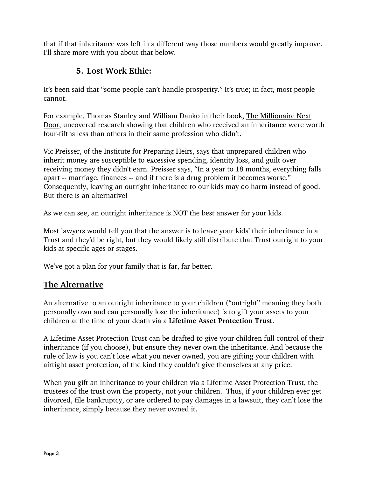that if that inheritance was left in a different way those numbers would greatly improve. I'll share more with you about that below.

### **5. Lost Work Ethic:**

It's been said that "some people can't handle prosperity." It's true; in fact, most people cannot.

For example, Thomas Stanley and William Danko in their book, The Millionaire Next Door, uncovered research showing that children who received an inheritance were worth four-fifths less than others in their same profession who didn't.

Vic Preisser, of the Institute for Preparing Heirs, says that unprepared children who inherit money are susceptible to excessive spending, identity loss, and guilt over receiving money they didn't earn. Preisser says, "In a year to 18 months, everything falls apart -- marriage, finances -- and if there is a drug problem it becomes worse." Consequently, leaving an outright inheritance to our kids may do harm instead of good. But there is an alternative!

As we can see, an outright inheritance is NOT the best answer for your kids.

Most lawyers would tell you that the answer is to leave your kids' their inheritance in a Trust and they'd be right, but they would likely still distribute that Trust outright to your kids at specific ages or stages.

We've got a plan for your family that is far, far better.

#### **The Alternative**

An alternative to an outright inheritance to your children ("outright" meaning they both personally own and can personally lose the inheritance) is to gift your assets to your children at the time of your death via a **Lifetime Asset Protection Trust**.

A Lifetime Asset Protection Trust can be drafted to give your children full control of their inheritance (if you choose), but ensure they never own the inheritance. And because the rule of law is you can't lose what you never owned, you are gifting your children with airtight asset protection, of the kind they couldn't give themselves at any price.

When you gift an inheritance to your children via a Lifetime Asset Protection Trust, the trustees of the trust own the property, not your children. Thus, if your children ever get divorced, file bankruptcy, or are ordered to pay damages in a lawsuit, they can't lose the inheritance, simply because they never owned it.